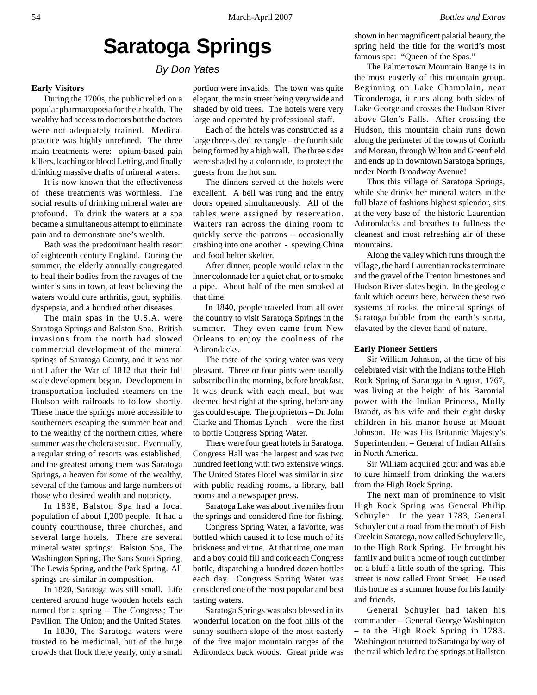# **Saratoga Springs**

*By Don Yates*

# **Early Visitors**

During the 1700s, the public relied on a popular pharmacopoeia for their health. The wealthy had access to doctors but the doctors were not adequately trained. Medical practice was highly unrefined. The three main treatments were: opium-based pain killers, leaching or blood Letting, and finally drinking massive drafts of mineral waters.

It is now known that the effectiveness of these treatments was worthless. The social results of drinking mineral water are profound. To drink the waters at a spa became a simultaneous attempt to eliminate pain and to demonstrate one's wealth.

Bath was the predominant health resort of eighteenth century England. During the summer, the elderly annually congregated to heal their bodies from the ravages of the winter's sins in town, at least believing the waters would cure arthritis, gout, syphilis, dyspepsia, and a hundred other diseases.

The main spas in the U.S.A. were Saratoga Springs and Balston Spa. British invasions from the north had slowed commercial development of the mineral springs of Saratoga County, and it was not until after the War of 1812 that their full scale development began. Development in transportation included steamers on the Hudson with railroads to follow shortly. These made the springs more accessible to southerners escaping the summer heat and to the wealthy of the northern cities, where summer was the cholera season. Eventually, a regular string of resorts was established; and the greatest among them was Saratoga Springs, a heaven for some of the wealthy, several of the famous and large numbers of those who desired wealth and notoriety.

In 1838, Balston Spa had a local population of about 1,200 people. It had a county courthouse, three churches, and several large hotels. There are several mineral water springs: Balston Spa, The Washington Spring, The Sans Souci Spring, The Lewis Spring, and the Park Spring. All springs are similar in composition.

In 1820, Saratoga was still small. Life centered around huge wooden hotels each named for a spring – The Congress; The Pavilion; The Union; and the United States.

In 1830, The Saratoga waters were trusted to be medicinal, but of the huge crowds that flock there yearly, only a small

portion were invalids. The town was quite elegant, the main street being very wide and shaded by old trees. The hotels were very large and operated by professional staff.

Each of the hotels was constructed as a large three-sided rectangle – the fourth side being formed by a high wall. The three sides were shaded by a colonnade, to protect the guests from the hot sun.

The dinners served at the hotels were excellent. A bell was rung and the entry doors opened simultaneously. All of the tables were assigned by reservation. Waiters ran across the dining room to quickly serve the patrons – occasionally crashing into one another - spewing China and food helter skelter.

After dinner, people would relax in the inner colonnade for a quiet chat, or to smoke a pipe. About half of the men smoked at that time.

In 1840, people traveled from all over the country to visit Saratoga Springs in the summer. They even came from New Orleans to enjoy the coolness of the Adirondacks.

The taste of the spring water was very pleasant. Three or four pints were usually subscribed in the morning, before breakfast. It was drunk with each meal, but was deemed best right at the spring, before any gas could escape. The proprietors – Dr. John Clarke and Thomas Lynch – were the first to bottle Congress Spring Water.

There were four great hotels in Saratoga. Congress Hall was the largest and was two hundred feet long with two extensive wings. The United States Hotel was similar in size with public reading rooms, a library, ball rooms and a newspaper press.

Saratoga Lake was about five miles from the springs and considered fine for fishing.

Congress Spring Water, a favorite, was bottled which caused it to lose much of its briskness and virtue. At that time, one man and a boy could fill and cork each Congress bottle, dispatching a hundred dozen bottles each day. Congress Spring Water was considered one of the most popular and best tasting waters.

Saratoga Springs was also blessed in its wonderful location on the foot hills of the sunny southern slope of the most easterly of the five major mountain ranges of the Adirondack back woods. Great pride was

shown in her magnificent palatial beauty, the spring held the title for the world's most famous spa: "Queen of the Spas."

The Palmertown Mountain Range is in the most easterly of this mountain group. Beginning on Lake Champlain, near Ticonderoga, it runs along both sides of Lake George and crosses the Hudson River above Glen's Falls. After crossing the Hudson, this mountain chain runs down along the perimeter of the towns of Corinth and Moreau, through Wilton and Greenfield and ends up in downtown Saratoga Springs, under North Broadway Avenue!

Thus this village of Saratoga Springs, while she drinks her mineral waters in the full blaze of fashions highest splendor, sits at the very base of the historic Laurentian Adirondacks and breathes to fullness the cleanest and most refreshing air of these mountains.

Along the valley which runs through the village, the hard Laurentian rocks terminate and the gravel of the Trenton limestones and Hudson River slates begin. In the geologic fault which occurs here, between these two systems of rocks, the mineral springs of Saratoga bubble from the earth's strata, elavated by the clever hand of nature.

#### **Early Pioneer Settlers**

Sir William Johnson, at the time of his celebrated visit with the Indians to the High Rock Spring of Saratoga in August, 1767, was living at the height of his Baronial power with the Indian Princess, Molly Brandt, as his wife and their eight dusky children in his manor house at Mount Johnson. He was His Britannic Majesty's Superintendent – General of Indian Affairs in North America.

Sir William acquired gout and was able to cure himself from drinking the waters from the High Rock Spring.

The next man of prominence to visit High Rock Spring was General Philip Schuyler. In the year 1783, General Schuyler cut a road from the mouth of Fish Creek in Saratoga, now called Schuylerville, to the High Rock Spring. He brought his family and built a home of rough cut timber on a bluff a little south of the spring. This street is now called Front Street. He used this home as a summer house for his family and friends.

General Schuyler had taken his commander – General George Washington – to the High Rock Spring in 1783. Washington returned to Saratoga by way of the trail which led to the springs at Ballston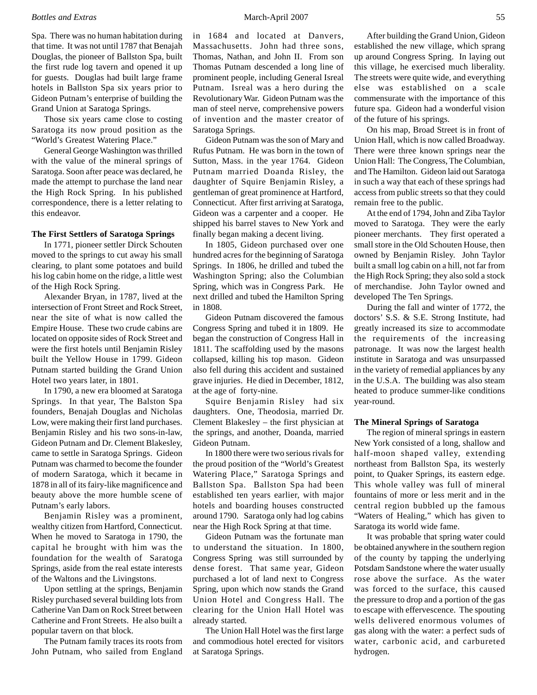#### *Bottles and Extras* March-April 2007 55

Spa. There was no human habitation during that time. It was not until 1787 that Benajah Douglas, the pioneer of Ballston Spa, built the first rude log tavern and opened it up for guests. Douglas had built large frame hotels in Ballston Spa six years prior to Gideon Putnam's enterprise of building the Grand Union at Saratoga Springs.

Those six years came close to costing Saratoga its now proud position as the "World's Greatest Watering Place."

General George Washington was thrilled with the value of the mineral springs of Saratoga. Soon after peace was declared, he made the attempt to purchase the land near the High Rock Spring. In his published correspondence, there is a letter relating to this endeavor.

#### **The First Settlers of Saratoga Springs**

In 1771, pioneer settler Dirck Schouten moved to the springs to cut away his small clearing, to plant some potatoes and build his log cabin home on the ridge, a little west of the High Rock Spring.

Alexander Bryan, in 1787, lived at the intersection of Front Street and Rock Street, near the site of what is now called the Empire House. These two crude cabins are located on opposite sides of Rock Street and were the first hotels until Benjamin Risley built the Yellow House in 1799. Gideon Putnam started building the Grand Union Hotel two years later, in 1801.

In 1790, a new era bloomed at Saratoga Springs. In that year, The Balston Spa founders, Benajah Douglas and Nicholas Low, were making their first land purchases. Benjamin Risley and his two sons-in-law, Gideon Putnam and Dr. Clement Blakesley, came to settle in Saratoga Springs. Gideon Putnam was charmed to become the founder of modern Saratoga, which it became in 1878 in all of its fairy-like magnificence and beauty above the more humble scene of Putnam's early labors.

Benjamin Risley was a prominent, wealthy citizen from Hartford, Connecticut. When he moved to Saratoga in 1790, the capital he brought with him was the foundation for the wealth of Saratoga Springs, aside from the real estate interests of the Waltons and the Livingstons.

Upon settling at the springs, Benjamin Risley purchased several building lots from Catherine Van Dam on Rock Street between Catherine and Front Streets. He also built a popular tavern on that block.

The Putnam family traces its roots from John Putnam, who sailed from England in 1684 and located at Danvers, Massachusetts. John had three sons, Thomas, Nathan, and John II. From son Thomas Putnam descended a long line of prominent people, including General Isreal Putnam. Isreal was a hero during the Revolutionary War. Gideon Putnam was the man of steel nerve, comprehensive powers of invention and the master creator of Saratoga Springs.

Gideon Putnam was the son of Mary and Rufus Putnam. He was born in the town of Sutton, Mass. in the year 1764. Gideon Putnam married Doanda Risley, the daughter of Squire Benjamin Risley, a gentleman of great prominence at Hartford, Connecticut. After first arriving at Saratoga, Gideon was a carpenter and a cooper. He shipped his barrel staves to New York and finally began making a decent living.

In 1805, Gideon purchased over one hundred acres for the beginning of Saratoga Springs. In 1806, he drilled and tubed the Washington Spring; also the Columbian Spring, which was in Congress Park. He next drilled and tubed the Hamilton Spring in 1808.

Gideon Putnam discovered the famous Congress Spring and tubed it in 1809. He began the construction of Congress Hall in 1811. The scaffolding used by the masons collapsed, killing his top mason. Gideon also fell during this accident and sustained grave injuries. He died in December, 1812, at the age of forty-nine.

Squire Benjamin Risley had six daughters. One, Theodosia, married Dr. Clement Blakesley – the first physician at the springs, and another, Doanda, married Gideon Putnam.

In 1800 there were two serious rivals for the proud position of the "World's Greatest Watering Place," Saratoga Springs and Ballston Spa. Ballston Spa had been established ten years earlier, with major hotels and boarding houses constructed around 1790. Saratoga only had log cabins near the High Rock Spring at that time.

Gideon Putnam was the fortunate man to understand the situation. In 1800, Congress Spring was still surrounded by dense forest. That same year, Gideon purchased a lot of land next to Congress Spring, upon which now stands the Grand Union Hotel and Congress Hall. The clearing for the Union Hall Hotel was already started.

The Union Hall Hotel was the first large and commodious hotel erected for visitors at Saratoga Springs.

After building the Grand Union, Gideon established the new village, which sprang up around Congress Spring. In laying out this village, he exercised much liberality. The streets were quite wide, and everything else was established on a scale commensurate with the importance of this future spa. Gideon had a wonderful vision of the future of his springs.

On his map, Broad Street is in front of Union Hall, which is now called Broadway. There were three known springs near the Union Hall: The Congress, The Columbian, and The Hamilton. Gideon laid out Saratoga in such a way that each of these springs had access from public streets so that they could remain free to the public.

At the end of 1794, John and Ziba Taylor moved to Saratoga. They were the early pioneer merchants. They first operated a small store in the Old Schouten House, then owned by Benjamin Risley. John Taylor built a small log cabin on a hill, not far from the High Rock Spring; they also sold a stock of merchandise. John Taylor owned and developed The Ten Springs.

During the fall and winter of 1772, the doctors' S.S. & S.E. Strong Institute, had greatly increased its size to accommodate the requirements of the increasing patronage. It was now the largest health institute in Saratoga and was unsurpassed in the variety of remedial appliances by any in the U.S.A. The building was also steam heated to produce summer-like conditions year-round.

#### **The Mineral Springs of Saratoga**

The region of mineral springs in eastern New York consisted of a long, shallow and half-moon shaped valley, extending northeast from Ballston Spa, its westerly point, to Quaker Springs, its eastern edge. This whole valley was full of mineral fountains of more or less merit and in the central region bubbled up the famous "Waters of Healing," which has given to Saratoga its world wide fame.

It was probable that spring water could be obtained anywhere in the southern region of the county by tapping the underlying Potsdam Sandstone where the water usually rose above the surface. As the water was forced to the surface, this caused the pressure to drop and a portion of the gas to escape with effervescence. The spouting wells delivered enormous volumes of gas along with the water: a perfect suds of water, carbonic acid, and carbureted hydrogen.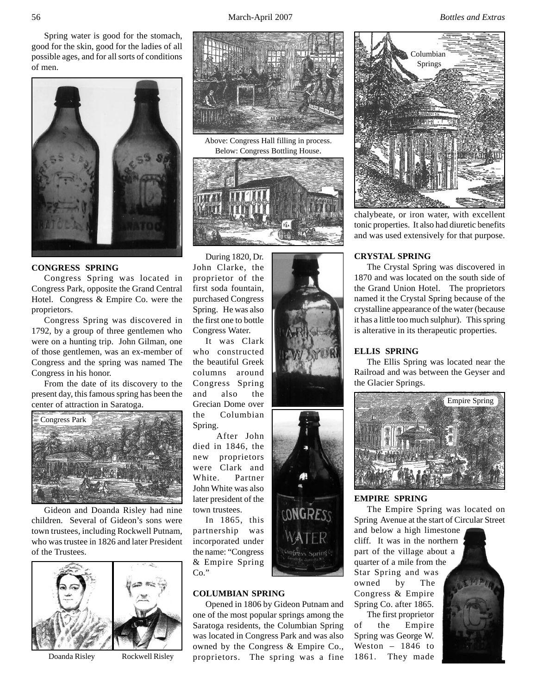56 March-April 2007 *Bottles and Extras*

Spring water is good for the stomach, good for the skin, good for the ladies of all possible ages, and for all sorts of conditions of men.



# **CONGRESS SPRING**

Congress Spring was located in Congress Park, opposite the Grand Central Hotel. Congress & Empire Co. were the proprietors.

Congress Spring was discovered in 1792, by a group of three gentlemen who were on a hunting trip. John Gilman, one of those gentlemen, was an ex-member of Congress and the spring was named The Congress in his honor.

From the date of its discovery to the present day, this famous spring has been the center of attraction in Saratoga.



Gideon and Doanda Risley had nine children. Several of Gideon's sons were town trustees, including Rockwell Putnam, who was trustee in 1826 and later President of the Trustees.





Above: Congress Hall filling in process. Below: Congress Bottling House.



During 1820, Dr. John Clarke, the proprietor of the first soda fountain, purchased Congress Spring. He was also the first one to bottle Congress Water.

It was Clark who constructed the beautiful Greek columns around Congress Spring and also the Grecian Dome over the Columbian Spring.

After John died in 1846, the new proprietors were Clark and White. Partner John White was also later president of the town trustees.

In 1865, this partnership was incorporated under the name: "Congress & Empire Spring Co."

# **COLUMBIAN SPRING**

Opened in 1806 by Gideon Putnam and one of the most popular springs among the Saratoga residents, the Columbian Spring was located in Congress Park and was also owned by the Congress & Empire Co., Doanda Risley Rockwell Risley proprietors. The spring was a fine

Congress Spring ()



chalybeate, or iron water, with excellent tonic properties. It also had diuretic benefits and was used extensively for that purpose.

# **CRYSTAL SPRING**

The Crystal Spring was discovered in 1870 and was located on the south side of the Grand Union Hotel. The proprietors named it the Crystal Spring because of the crystalline appearance of the water (because it has a little too much sulphur). This spring is alterative in its therapeutic properties.

# **ELLIS SPRING**

The Ellis Spring was located near the Railroad and was between the Geyser and the Glacier Springs.



#### **EMPIRE SPRING**

The Empire Spring was located on Spring Avenue at the start of Circular Street

and below a high limestone cliff. It was in the northern part of the village about a quarter of a mile from the Star Spring and was owned by The Congress & Empire Spring Co. after 1865. The first proprietor

of the Empire Spring was George W. Weston – 1846 to 1861. They made

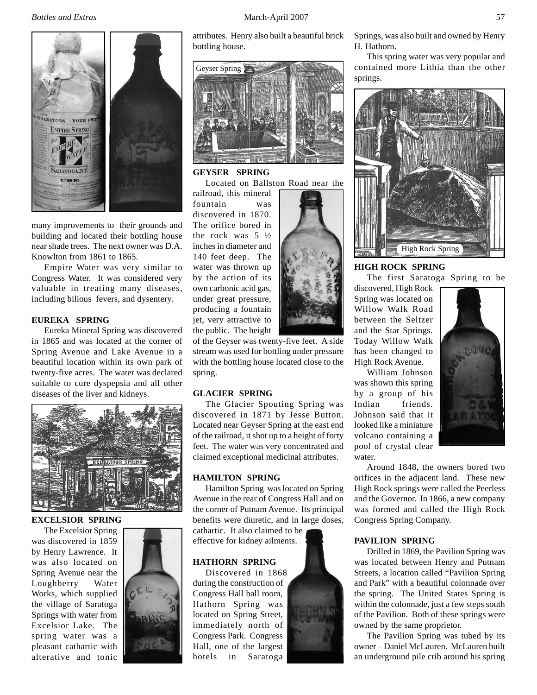

many improvements to their grounds and building and located their bottling house near shade trees. The next owner was D.A. Knowlton from 1861 to 1865.

Empire Water was very similar to Congress Water. It was considered very valuable in treating many diseases, including bilious fevers, and dysentery.

## **EUREKA SPRING**

Eureka Mineral Spring was discovered in 1865 and was located at the corner of Spring Avenue and Lake Avenue in a beautiful location within its own park of twenty-five acres. The water was declared suitable to cure dyspepsia and all other diseases of the liver and kidneys.



# **EXCELSIOR SPRING**

The Excelsior Spring was discovered in 1859 by Henry Lawrence. It was also located on Spring Avenue near the Loughberry Water Works, which supplied the village of Saratoga Springs with water from Excelsior Lake. The spring water was a pleasant cathartic with alterative and tonic



attributes. Henry also built a beautiful brick bottling house.



**GEYSER SPRING** Located on Ballston Road near the

railroad, this mineral fountain was discovered in 1870. The orifice bored in the rock was 5 ½ inches in diameter and 140 feet deep. The water was thrown up by the action of its own carbonic acid gas, under great pressure, producing a fountain jet, very attractive to the public. The height

of the Geyser was twenty-five feet. A side stream was used for bottling under pressure with the bottling house located close to the spring.

# **GLACIER SPRING**

The Glacier Spouting Spring was discovered in 1871 by Jesse Button. Located near Geyser Spring at the east end of the railroad, it shot up to a height of forty feet. The water was very concentrated and claimed exceptional medicinal attributes.

# **HAMILTON SPRING**

Hamilton Spring was located on Spring Avenue in the rear of Congress Hall and on the corner of Putnam Avenue. Its principal benefits were diuretic, and in large doses, cathartic. It also claimed to be

effective for kidney ailments.

## **HATHORN SPRING**

Discovered in 1868 during the construction of Congress Hall ball room, Hathorn Spring was located on Spring Street, immediately north of Congress Park. Congress Hall, one of the largest hotels in Saratoga



Springs, was also built and owned by Henry H. Hathorn.

This spring water was very popular and contained more Lithia than the other springs.



# **HIGH ROCK SPRING**

The first Saratoga Spring to be discovered, High Rock Spring was located on Willow Walk Road between the Seltzer and the Star Springs.

Today Willow Walk has been changed to High Rock Avenue.

William Johnson was shown this spring by a group of his Indian friends. Johnson said that it looked like a miniature volcano containing a pool of crystal clear water.

Around 1848, the owners bored two orifices in the adjacent land. These new High Rock springs were called the Peerless and the Governor. In 1866, a new company was formed and called the High Rock Congress Spring Company.

# **PAVILION SPRING**

Drilled in 1869, the Pavilion Spring was was located between Henry and Putnam Streets, a location called "Pavilion Spring and Park" with a beautiful colonnade over the spring. The United States Spring is within the colonnade, just a few steps south of the Pavilion. Both of these springs were owned by the same proprietor.

The Pavilion Spring was tubed by its owner – Daniel McLauren. McLauren built an underground pile crib around his spring



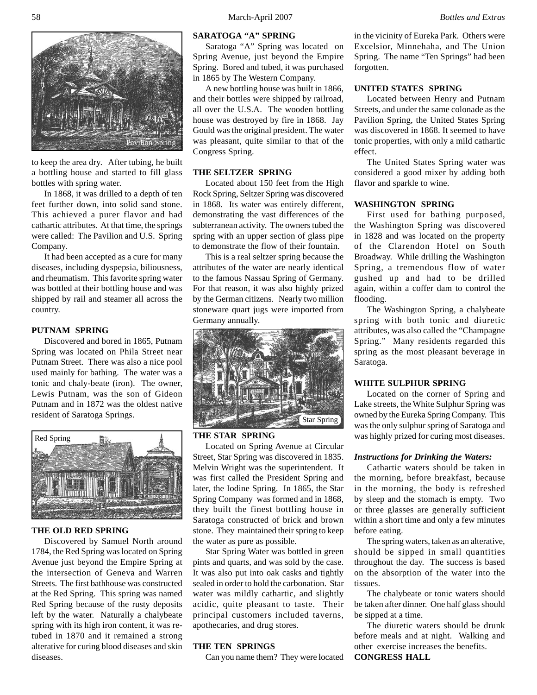

to keep the area dry. After tubing, he built a bottling house and started to fill glass bottles with spring water.

In 1868, it was drilled to a depth of ten feet further down, into solid sand stone. This achieved a purer flavor and had cathartic attributes. At that time, the springs were called: The Pavilion and U.S. Spring Company.

It had been accepted as a cure for many diseases, including dyspepsia, biliousness, and rheumatism. This favorite spring water was bottled at their bottling house and was shipped by rail and steamer all across the country.

#### **PUTNAM SPRING**

Discovered and bored in 1865, Putnam Spring was located on Phila Street near Putnam Street. There was also a nice pool used mainly for bathing. The water was a tonic and chaly-beate (iron). The owner, Lewis Putnam, was the son of Gideon Putnam and in 1872 was the oldest native resident of Saratoga Springs.



# **THE OLD RED SPRING**

Discovered by Samuel North around 1784, the Red Spring was located on Spring Avenue just beyond the Empire Spring at the intersection of Geneva and Warren Streets. The first bathhouse was constructed at the Red Spring. This spring was named Red Spring because of the rusty deposits left by the water. Naturally a chalybeate spring with its high iron content, it was retubed in 1870 and it remained a strong alterative for curing blood diseases and skin diseases.

# **SARATOGA "A" SPRING**

Saratoga "A" Spring was located on Spring Avenue, just beyond the Empire Spring. Bored and tubed, it was purchased in 1865 by The Western Company.

A new bottling house was built in 1866, and their bottles were shipped by railroad, all over the U.S.A. The wooden bottling house was destroyed by fire in 1868. Jay Gould was the original president. The water was pleasant, quite similar to that of the Congress Spring.

## **THE SELTZER SPRING**

Located about 150 feet from the High Rock Spring, Seltzer Spring was discovered in 1868. Its water was entirely different, demonstrating the vast differences of the subterranean activity. The owners tubed the spring with an upper section of glass pipe to demonstrate the flow of their fountain.

This is a real seltzer spring because the attributes of the water are nearly identical to the famous Nassau Spring of Germany. For that reason, it was also highly prized by the German citizens. Nearly two million stoneware quart jugs were imported from Germany annually.



#### **THE STAR SPRING**

Located on Spring Avenue at Circular Street, Star Spring was discovered in 1835. Melvin Wright was the superintendent. It was first called the President Spring and later, the Iodine Spring. In 1865, the Star Spring Company was formed and in 1868, they built the finest bottling house in Saratoga constructed of brick and brown stone. They maintained their spring to keep the water as pure as possible.

Star Spring Water was bottled in green pints and quarts, and was sold by the case. It was also put into oak casks and tightly sealed in order to hold the carbonation. Star water was mildly cathartic, and slightly acidic, quite pleasant to taste. Their principal customers included taverns, apothecaries, and drug stores.

## **THE TEN SPRINGS**

Can you name them? They were located

in the vicinity of Eureka Park. Others were Excelsior, Minnehaha, and The Union Spring. The name "Ten Springs" had been forgotten.

## **UNITED STATES SPRING**

Located between Henry and Putnam Streets, and under the same colonade as the Pavilion Spring, the United States Spring was discovered in 1868. It seemed to have tonic properties, with only a mild cathartic effect.

The United States Spring water was considered a good mixer by adding both flavor and sparkle to wine.

## **WASHINGTON SPRING**

First used for bathing purposed, the Washington Spring was discovered in 1828 and was located on the property of the Clarendon Hotel on South Broadway. While drilling the Washington Spring, a tremendous flow of water gushed up and had to be drilled again, within a coffer dam to control the flooding.

The Washington Spring, a chalybeate spring with both tonic and diuretic attributes, was also called the "Champagne Spring." Many residents regarded this spring as the most pleasant beverage in Saratoga.

## **WHITE SULPHUR SPRING**

Located on the corner of Spring and Lake streets, the White Sulphur Spring was owned by the Eureka Spring Company. This was the only sulphur spring of Saratoga and was highly prized for curing most diseases.

#### *Instructions for Drinking the Waters:*

Cathartic waters should be taken in the morning, before breakfast, because in the morning, the body is refreshed by sleep and the stomach is empty. Two or three glasses are generally sufficient within a short time and only a few minutes before eating.

The spring waters, taken as an alterative, should be sipped in small quantities throughout the day. The success is based on the absorption of the water into the tissues.

The chalybeate or tonic waters should be taken after dinner. One half glass should be sipped at a time.

The diuretic waters should be drunk before meals and at night. Walking and other exercise increases the benefits. **CONGRESS HALL**